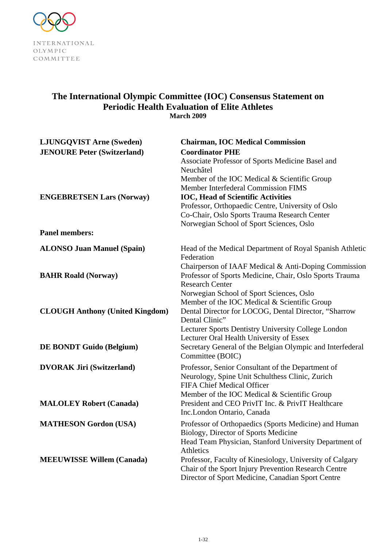

### **The International Olympic Committee (IOC) Consensus Statement on Periodic Health Evaluation of Elite Athletes March 2009**

| <b>LJUNGQVIST Arne (Sweden)</b>        | <b>Chairman, IOC Medical Commission</b>                                |
|----------------------------------------|------------------------------------------------------------------------|
| <b>JENOURE Peter (Switzerland)</b>     | <b>Coordinator PHE</b>                                                 |
|                                        | Associate Professor of Sports Medicine Basel and<br>Neuchâtel          |
|                                        | Member of the IOC Medical & Scientific Group                           |
|                                        | Member Interfederal Commission FIMS                                    |
| <b>ENGEBRETSEN Lars (Norway)</b>       | <b>IOC, Head of Scientific Activities</b>                              |
|                                        | Professor, Orthopaedic Centre, University of Oslo                      |
|                                        | Co-Chair, Oslo Sports Trauma Research Center                           |
|                                        | Norwegian School of Sport Sciences, Oslo                               |
| <b>Panel members:</b>                  |                                                                        |
| <b>ALONSO Juan Manuel (Spain)</b>      | Head of the Medical Department of Royal Spanish Athletic<br>Federation |
|                                        | Chairperson of IAAF Medical & Anti-Doping Commission                   |
| <b>BAHR Roald (Norway)</b>             | Professor of Sports Medicine, Chair, Oslo Sports Trauma                |
|                                        | <b>Research Center</b>                                                 |
|                                        | Norwegian School of Sport Sciences, Oslo                               |
|                                        | Member of the IOC Medical & Scientific Group                           |
| <b>CLOUGH Anthony (United Kingdom)</b> | Dental Director for LOCOG, Dental Director, "Sharrow<br>Dental Clinic" |
|                                        | Lecturer Sports Dentistry University College London                    |
|                                        | Lecturer Oral Health University of Essex                               |
| <b>DE BONDT Guido (Belgium)</b>        | Secretary General of the Belgian Olympic and Interfederal              |
|                                        | Committee (BOIC)                                                       |
| <b>DVORAK Jiri (Switzerland)</b>       | Professor, Senior Consultant of the Department of                      |
|                                        | Neurology, Spine Unit Schulthess Clinic, Zurich                        |
|                                        | FIFA Chief Medical Officer                                             |
|                                        | Member of the IOC Medical & Scientific Group                           |
| <b>MALOLEY Robert (Canada)</b>         | President and CEO PrivIT Inc. & PrivIT Healthcare                      |
|                                        | Inc.London Ontario, Canada                                             |
| <b>MATHESON Gordon (USA)</b>           | Professor of Orthopaedics (Sports Medicine) and Human                  |
|                                        | Biology, Director of Sports Medicine                                   |
|                                        | Head Team Physician, Stanford University Department of                 |
|                                        | Athletics                                                              |
| <b>MEEUWISSE Willem (Canada)</b>       | Professor, Faculty of Kinesiology, University of Calgary               |
|                                        | Chair of the Sport Injury Prevention Research Centre                   |
|                                        | Director of Sport Medicine, Canadian Sport Centre                      |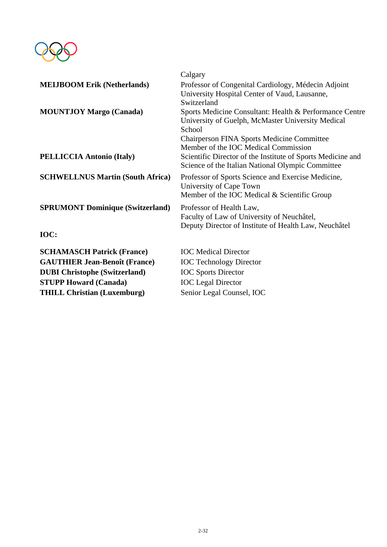

|                                         | Calgary                                                                                                          |
|-----------------------------------------|------------------------------------------------------------------------------------------------------------------|
| <b>MEIJBOOM Erik (Netherlands)</b>      | Professor of Congenital Cardiology, Médecin Adjoint                                                              |
|                                         | University Hospital Center of Vaud, Lausanne,                                                                    |
|                                         | Switzerland                                                                                                      |
| <b>MOUNTJOY Margo (Canada)</b>          | Sports Medicine Consultant: Health & Performance Centre                                                          |
|                                         | University of Guelph, McMaster University Medical                                                                |
|                                         | School                                                                                                           |
|                                         | <b>Chairperson FINA Sports Medicine Committee</b>                                                                |
|                                         | Member of the IOC Medical Commission                                                                             |
| <b>PELLICCIA Antonio (Italy)</b>        | Scientific Director of the Institute of Sports Medicine and<br>Science of the Italian National Olympic Committee |
|                                         |                                                                                                                  |
| <b>SCHWELLNUS Martin (South Africa)</b> | Professor of Sports Science and Exercise Medicine,                                                               |
|                                         | University of Cape Town                                                                                          |
|                                         | Member of the IOC Medical & Scientific Group                                                                     |
| <b>SPRUMONT Dominique (Switzerland)</b> | Professor of Health Law,                                                                                         |
|                                         | Faculty of Law of University of Neuchâtel,                                                                       |
|                                         | Deputy Director of Institute of Health Law, Neuchâtel                                                            |
| IOC:                                    |                                                                                                                  |
| <b>SCHAMASCH Patrick (France)</b>       | <b>IOC</b> Medical Director                                                                                      |
| <b>GAUTHIER Jean-Benoît (France)</b>    | <b>IOC</b> Technology Director                                                                                   |
| <b>DUBI Christophe (Switzerland)</b>    | <b>IOC</b> Sports Director                                                                                       |
| <b>STUPP Howard (Canada)</b>            | <b>IOC</b> Legal Director                                                                                        |
| <b>THILL Christian (Luxemburg)</b>      | Senior Legal Counsel, IOC                                                                                        |
|                                         |                                                                                                                  |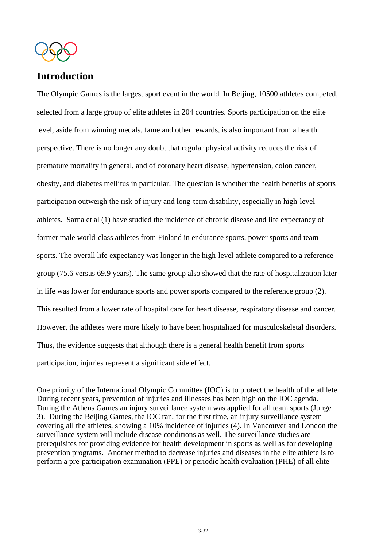

## **Introduction**

The Olympic Games is the largest sport event in the world. In Beijing, 10500 athletes competed, selected from a large group of elite athletes in 204 countries. Sports participation on the elite level, aside from winning medals, fame and other rewards, is also important from a health perspective. There is no longer any doubt that regular physical activity reduces the risk of premature mortality in general, and of coronary heart disease, hypertension, colon cancer, obesity, and diabetes mellitus in particular. The question is whether the health benefits of sports participation outweigh the risk of injury and long-term disability, especially in high-level athletes. Sarna et al (1) have studied the incidence of chronic disease and life expectancy of former male world-class athletes from Finland in endurance sports, power sports and team sports. The overall life expectancy was longer in the high-level athlete compared to a reference group (75.6 versus 69.9 years). The same group also showed that the rate of hospitalization later in life was lower for endurance sports and power sports compared to the reference group (2). This resulted from a lower rate of hospital care for heart disease, respiratory disease and cancer. However, the athletes were more likely to have been hospitalized for musculoskeletal disorders. Thus, the evidence suggests that although there is a general health benefit from sports participation, injuries represent a significant side effect.

One priority of the International Olympic Committee (IOC) is to protect the health of the athlete. During recent years, prevention of injuries and illnesses has been high on the IOC agenda. During the Athens Games an injury surveillance system was applied for all team sports (Junge 3). During the Beijing Games, the IOC ran, for the first time, an injury surveillance system covering all the athletes, showing a 10% incidence of injuries (4). In Vancouver and London the surveillance system will include disease conditions as well. The surveillance studies are prerequisites for providing evidence for health development in sports as well as for developing prevention programs. Another method to decrease injuries and diseases in the elite athlete is to perform a pre-participation examination (PPE) or periodic health evaluation (PHE) of all elite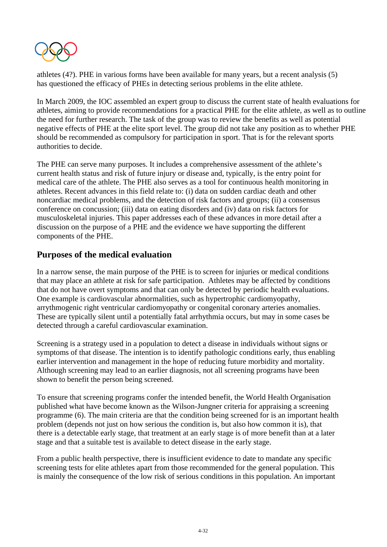

athletes (4?). PHE in various forms have been available for many years, but a recent analysis (5) has questioned the efficacy of PHEs in detecting serious problems in the elite athlete.

In March 2009, the IOC assembled an expert group to discuss the current state of health evaluations for athletes, aiming to provide recommendations for a practical PHE for the elite athlete, as well as to outline the need for further research. The task of the group was to review the benefits as well as potential negative effects of PHE at the elite sport level. The group did not take any position as to whether PHE should be recommended as compulsory for participation in sport. That is for the relevant sports authorities to decide.

The PHE can serve many purposes. It includes a comprehensive assessment of the athlete's current health status and risk of future injury or disease and, typically, is the entry point for medical care of the athlete. The PHE also serves as a tool for continuous health monitoring in athletes. Recent advances in this field relate to: (i) data on sudden cardiac death and other noncardiac medical problems, and the detection of risk factors and groups; (ii) a consensus conference on concussion; (iii) data on eating disorders and (iv) data on risk factors for musculoskeletal injuries. This paper addresses each of these advances in more detail after a discussion on the purpose of a PHE and the evidence we have supporting the different components of the PHE.

### **Purposes of the medical evaluation**

In a narrow sense, the main purpose of the PHE is to screen for injuries or medical conditions that may place an athlete at risk for safe participation. Athletes may be affected by conditions that do not have overt symptoms and that can only be detected by periodic health evaluations. One example is cardiovascular abnormalities, such as hypertrophic cardiomyopathy, arrythmogenic right ventricular cardiomyopathy or congenital coronary arteries anomalies. These are typically silent until a potentially fatal arrhythmia occurs, but may in some cases be detected through a careful cardiovascular examination.

Screening is a strategy used in a population to detect a disease in individuals without signs or symptoms of that disease. The intention is to identify pathologic conditions early, thus enabling earlier intervention and management in the hope of reducing future morbidity and mortality. Although screening may lead to an earlier diagnosis, not all screening programs have been shown to benefit the person being screened.

To ensure that screening programs confer the intended benefit, the World Health Organisation published what have become known as the Wilson-Jungner criteria for appraising a screening programme (6). The main criteria are that the condition being screened for is an important health problem (depends not just on how serious the condition is, but also how common it is), that there is a detectable early stage, that treatment at an early stage is of more benefit than at a later stage and that a suitable test is available to detect disease in the early stage.

From a public health perspective, there is insufficient evidence to date to mandate any specific screening tests for elite athletes apart from those recommended for the general population. This is mainly the consequence of the low risk of serious conditions in this population. An important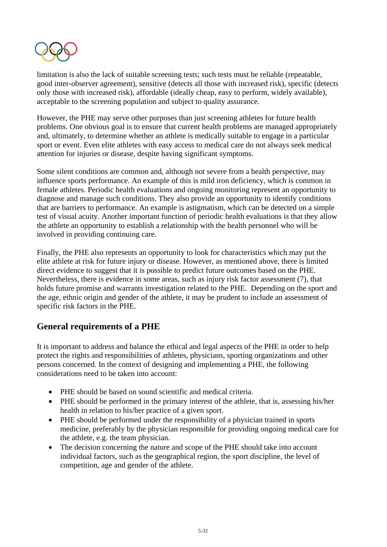

limitation is also the lack of suitable screening tests; such tests must be reliable (repeatable, good inter-observer agreement), sensitive (detects all those with increased risk), specific (detects only those with increased risk), affordable (ideally cheap, easy to perform, widely available), acceptable to the screening population and subject to quality assurance.

However, the PHE may serve other purposes than just screening athletes for future health problems. One obvious goal is to ensure that current health problems are managed appropriately and, ultimately, to determine whether an athlete is medically suitable to engage in a particular sport or event. Even elite athletes with easy access to medical care do not always seek medical attention for injuries or disease, despite having significant symptoms.

Some silent conditions are common and, although not severe from a health perspective, may influence sports performance. An example of this is mild iron deficiency, which is common in female athletes. Periodic health evaluations and ongoing monitoring represent an opportunity to diagnose and manage such conditions. They also provide an opportunity to identify conditions that are barriers to performance. An example is astigmatism, which can be detected on a simple test of visual acuity. Another important function of periodic health evaluations is that they allow the athlete an opportunity to establish a relationship with the health personnel who will be involved in providing continuing care.

Finally, the PHE also represents an opportunity to look for characteristics which may put the elite athlete at risk for future injury or disease. However, as mentioned above, there is limited direct evidence to suggest that it is possible to predict future outcomes based on the PHE. Nevertheless, there is evidence in some areas, such as injury risk factor assessment (7), that holds future promise and warrants investigation related to the PHE. Depending on the sport and the age, ethnic origin and gender of the athlete, it may be prudent to include an assessment of specific risk factors in the PHE.

### **General requirements of a PHE**

It is important to address and balance the ethical and legal aspects of the PHE in order to help protect the rights and responsibilities of athletes, physicians, sporting organizations and other persons concerned. In the context of designing and implementing a PHE, the following considerations need to be taken into account:

- PHE should be based on sound scientific and medical criteria.
- PHE should be performed in the primary interest of the athlete, that is, assessing his/her health in relation to his/her practice of a given sport.
- PHE should be performed under the responsibility of a physician trained in sports medicine, preferably by the physician responsible for providing ongoing medical care for the athlete, e.g. the team physician.
- The decision concerning the nature and scope of the PHE should take into account individual factors, such as the geographical region, the sport discipline, the level of competition, age and gender of the athlete.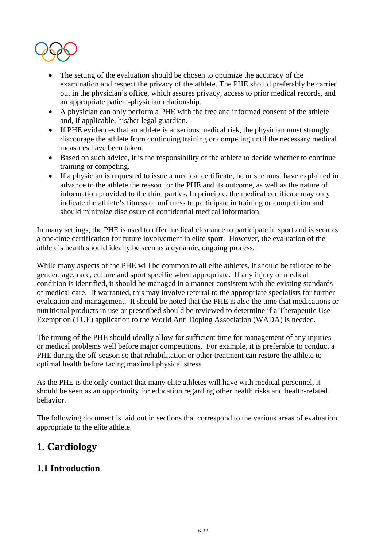

- The setting of the evaluation should be chosen to optimize the accuracy of the examination and respect the privacy of the athlete. The PHE should preferably be carried out in the physician's office, which assures privacy, access to prior medical records, and an appropriate patient-physician relationship.
- A physician can only perform a PHE with the free and informed consent of the athlete and, if applicable, his/her legal guardian.
- If PHE evidences that an athlete is at serious medical risk, the physician must strongly discourage the athlete from continuing training or competing until the necessary medical measures have been taken.
- Based on such advice, it is the responsibility of the athlete to decide whether to continue training or competing.
- If a physician is requested to issue a medical certificate, he or she must have explained in advance to the athlete the reason for the PHE and its outcome, as well as the nature of information provided to the third parties. In principle, the medical certificate may only indicate the athlete's fitness or unfitness to participate in training or competition and should minimize disclosure of confidential medical information.

In many settings, the PHE is used to offer medical clearance to participate in sport and is seen as a one-time certification for future involvement in elite sport. However, the evaluation of the athlete's health should ideally be seen as a dynamic, ongoing process.

While many aspects of the PHE will be common to all elite athletes, it should be tailored to be gender, age, race, culture and sport specific when appropriate. If any injury or medical condition is identified, it should be managed in a manner consistent with the existing standards of medical care. If warranted, this may involve referral to the appropriate specialists for further evaluation and management. It should be noted that the PHE is also the time that medications or nutritional products in use or prescribed should be reviewed to determine if a Therapeutic Use Exemption (TUE) application to the World Anti Doping Association (WADA) is needed.

The timing of the PHE should ideally allow for sufficient time for management of any injuries or medical problems well before major competitions. For example, it is preferable to conduct a PHE during the off-season so that rehabilitation or other treatment can restore the athlete to optimal health before facing maximal physical stress.

As the PHE is the only contact that many elite athletes will have with medical personnel, it should be seen as an opportunity for education regarding other health risks and health-related behavior.

The following document is laid out in sections that correspond to the various areas of evaluation appropriate to the elite athlete.

# **1. Cardiology**

### **1.1 Introduction**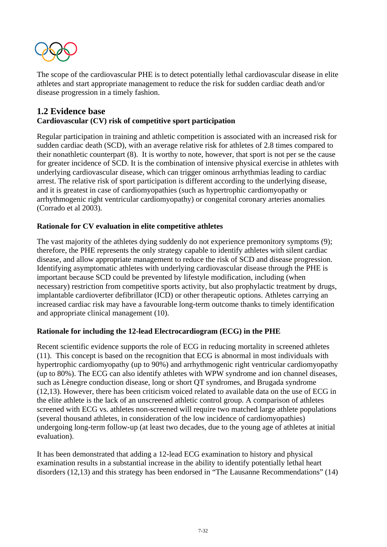

The scope of the cardiovascular PHE is to detect potentially lethal cardiovascular disease in elite athletes and start appropriate management to reduce the risk for sudden cardiac death and/or disease progression in a timely fashion.

#### **1.2 Evidence base Cardiovascular (CV) risk of competitive sport participation**

Regular participation in training and athletic competition is associated with an increased risk for sudden cardiac death (SCD), with an average relative risk for athletes of 2.8 times compared to their nonathletic counterpart (8). It is worthy to note, however, that sport is not per se the cause for greater incidence of SCD. It is the combination of intensive physical exercise in athletes with underlying cardiovascular disease, which can trigger ominous arrhythmias leading to cardiac arrest. The relative risk of sport participation is different according to the underlying disease, and it is greatest in case of cardiomyopathies (such as hypertrophic cardiomyopathy or arrhythmogenic right ventricular cardiomyopathy) or congenital coronary arteries anomalies (Corrado et al 2003).

#### **Rationale for CV evaluation in elite competitive athletes**

The vast majority of the athletes dying suddenly do not experience premonitory symptoms (9); therefore, the PHE represents the only strategy capable to identify athletes with silent cardiac disease, and allow appropriate management to reduce the risk of SCD and disease progression. Identifying asymptomatic athletes with underlying cardiovascular disease through the PHE is important because SCD could be prevented by lifestyle modification, including (when necessary) restriction from competitive sports activity, but also prophylactic treatment by drugs, implantable cardioverter defibrillator (ICD) or other therapeutic options. Athletes carrying an increased cardiac risk may have a favourable long-term outcome thanks to timely identification and appropriate clinical management (10).

#### **Rationale for including the 12-lead Electrocardiogram (ECG) in the PHE**

Recent scientific evidence supports the role of ECG in reducing mortality in screened athletes (11). This concept is based on the recognition that ECG is abnormal in most individuals with hypertrophic cardiomyopathy (up to 90%) and arrhythmogenic right ventricular cardiomyopathy (up to 80%). The ECG can also identify athletes with WPW syndrome and ion channel diseases, such as Lènegre conduction disease, long or short QT syndromes, and Brugada syndrome (12,13). However, there has been criticism voiced related to available data on the use of ECG in the elite athlete is the lack of an unscreened athletic control group. A comparison of athletes screened with ECG vs. athletes non-screened will require two matched large athlete populations (several thousand athletes, in consideration of the low incidence of cardiomyopathies) undergoing long-term follow-up (at least two decades, due to the young age of athletes at initial evaluation).

It has been demonstrated that adding a 12-lead ECG examination to history and physical examination results in a substantial increase in the ability to identify potentially lethal heart disorders (12,13) and this strategy has been endorsed in "The Lausanne Recommendations" (14)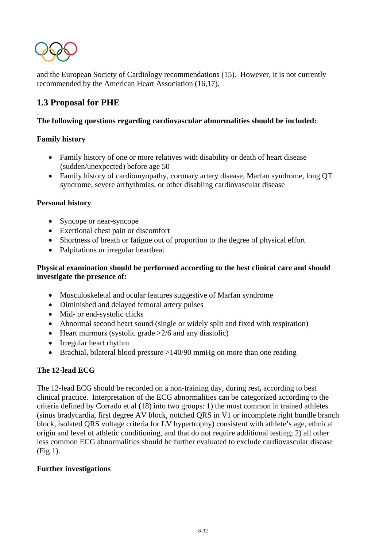

and the European Society of Cardiology recommendations (15). However, it is not currently recommended by the American Heart Association (16,17).

### **1.3 Proposal for PHE**

#### **The following questions regarding cardiovascular abnormalities should be included:**

#### **Family history**

.

- Family history of one or more relatives with disability or death of heart disease (sudden/unexpected) before age 50
- Family history of cardiomyopathy, coronary artery disease, Marfan syndrome, long QT syndrome, severe arrhythmias, or other disabling cardiovascular disease

#### **Personal history**

- Syncope or near-syncope
- Exertional chest pain or discomfort
- Shortness of breath or fatigue out of proportion to the degree of physical effort
- Palpitations or irregular heartbeat

#### **Physical examination should be performed according to the best clinical care and should investigate the presence of:**

- Musculoskeletal and ocular features suggestive of Marfan syndrome
- Diminished and delayed femoral artery pulses
- Mid- or end-systolic clicks
- Abnormal second heart sound (single or widely split and fixed with respiration)
- $\bullet$  Heart murmurs (systolic grade  $>2/6$  and any diastolic)
- Irregular heart rhythm
- Brachial, bilateral blood pressure  $>140/90$  mmHg on more than one reading

#### **The 12-lead ECG**

The 12-lead ECG should be recorded on a non-training day, during rest**,** according to best clinical practice. Interpretation of the ECG abnormalities can be categorized according to the criteria defined by Corrado et al (18) into two groups: 1) the most common in trained athletes (sinus bradycardia, first degree AV block, notched QRS in V1 or incomplete right bundle branch block, isolated QRS voltage criteria for LV hypertrophy) consistent with athlete's age, ethnical origin and level of athletic conditioning, and that do not require additional testing; 2) all other less common ECG abnormalities should be further evaluated to exclude cardiovascular disease (Fig 1).

#### **Further investigations**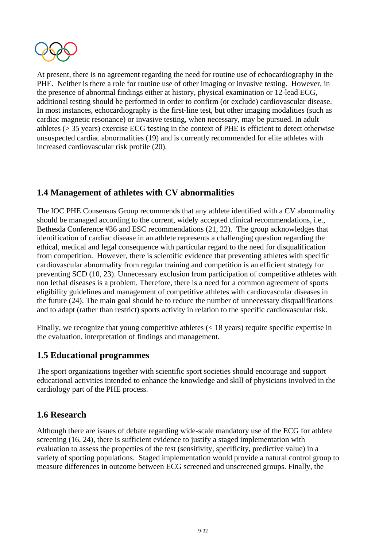

At present, there is no agreement regarding the need for routine use of echocardiography in the PHE. Neither is there a role for routine use of other imaging or invasive testing. However, in the presence of abnormal findings either at history, physical examination or 12-lead ECG, additional testing should be performed in order to confirm (or exclude) cardiovascular disease. In most instances, echocardiography is the first-line test, but other imaging modalities (such as cardiac magnetic resonance) or invasive testing, when necessary, may be pursued. In adult athletes (> 35 years) exercise ECG testing in the context of PHE is efficient to detect otherwise unsuspected cardiac abnormalities (19) and is currently recommended for elite athletes with increased cardiovascular risk profile (20).

### **1.4 Management of athletes with CV abnormalities**

The IOC PHE Consensus Group recommends that any athlete identified with a CV abnormality should be managed according to the current, widely accepted clinical recommendations, i.e., Bethesda Conference #36 and ESC recommendations (21, 22). The group acknowledges that identification of cardiac disease in an athlete represents a challenging question regarding the ethical, medical and legal consequence with particular regard to the need for disqualification from competition. However, there is scientific evidence that preventing athletes with specific cardiovascular abnormality from regular training and competition is an efficient strategy for preventing SCD (10, 23). Unnecessary exclusion from participation of competitive athletes with non lethal diseases is a problem. Therefore, there is a need for a common agreement of sports eligibility guidelines and management of competitive athletes with cardiovascular diseases in the future (24). The main goal should be to reduce the number of unnecessary disqualifications and to adapt (rather than restrict) sports activity in relation to the specific cardiovascular risk.

Finally, we recognize that young competitive athletes  $(< 18$  years) require specific expertise in the evaluation, interpretation of findings and management.

### **1.5 Educational programmes**

The sport organizations together with scientific sport societies should encourage and support educational activities intended to enhance the knowledge and skill of physicians involved in the cardiology part of the PHE process.

### **1.6 Research**

Although there are issues of debate regarding wide-scale mandatory use of the ECG for athlete screening (16, 24), there is sufficient evidence to justify a staged implementation with evaluation to assess the properties of the test (sensitivity, specificity, predictive value) in a variety of sporting populations. Staged implementation would provide a natural control group to measure differences in outcome between ECG screened and unscreened groups. Finally, the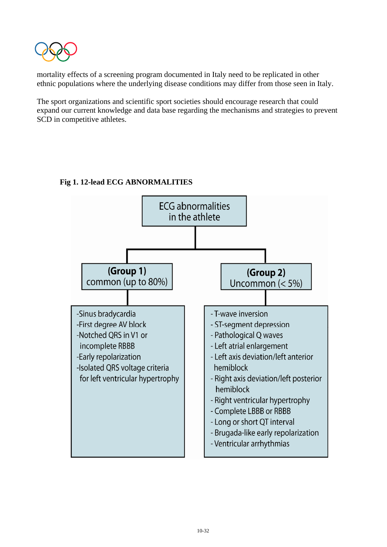

mortality effects of a screening program documented in Italy need to be replicated in other ethnic populations where the underlying disease conditions may differ from those seen in Italy.

The sport organizations and scientific sport societies should encourage research that could expand our current knowledge and data base regarding the mechanisms and strategies to prevent SCD in competitive athletes.



### **Fig 1. 12-lead ECG ABNORMALITIES**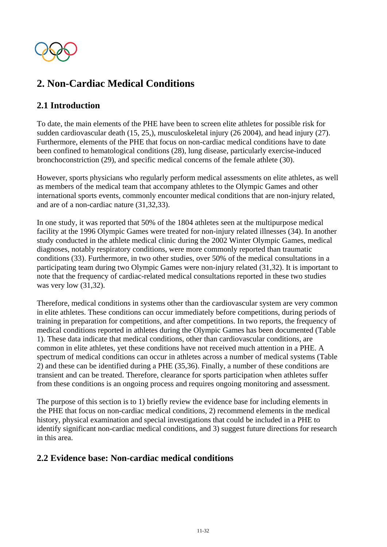

# **2. Non-Cardiac Medical Conditions**

## **2.1 Introduction**

To date, the main elements of the PHE have been to screen elite athletes for possible risk for sudden cardiovascular death (15, 25,), musculoskeletal injury (26 2004), and head injury (27). Furthermore, elements of the PHE that focus on non-cardiac medical conditions have to date been confined to hematological conditions (28), lung disease, particularly exercise-induced bronchoconstriction (29), and specific medical concerns of the female athlete (30).

However, sports physicians who regularly perform medical assessments on elite athletes, as well as members of the medical team that accompany athletes to the Olympic Games and other international sports events, commonly encounter medical conditions that are non-injury related, and are of a non-cardiac nature (31,32,33).

In one study, it was reported that 50% of the 1804 athletes seen at the multipurpose medical facility at the 1996 Olympic Games were treated for non-injury related illnesses (34). In another study conducted in the athlete medical clinic during the 2002 Winter Olympic Games, medical diagnoses, notably respiratory conditions, were more commonly reported than traumatic conditions (33). Furthermore, in two other studies, over 50% of the medical consultations in a participating team during two Olympic Games were non-injury related (31,32). It is important to note that the frequency of cardiac-related medical consultations reported in these two studies was very low  $(31,32)$ .

Therefore, medical conditions in systems other than the cardiovascular system are very common in elite athletes. These conditions can occur immediately before competitions, during periods of training in preparation for competitions, and after competitions. In two reports, the frequency of medical conditions reported in athletes during the Olympic Games has been documented (Table 1). These data indicate that medical conditions, other than cardiovascular conditions, are common in elite athletes, yet these conditions have not received much attention in a PHE. A spectrum of medical conditions can occur in athletes across a number of medical systems (Table 2) and these can be identified during a PHE (35,36). Finally, a number of these conditions are transient and can be treated. Therefore, clearance for sports participation when athletes suffer from these conditions is an ongoing process and requires ongoing monitoring and assessment.

The purpose of this section is to 1) briefly review the evidence base for including elements in the PHE that focus on non-cardiac medical conditions, 2) recommend elements in the medical history, physical examination and special investigations that could be included in a PHE to identify significant non-cardiac medical conditions, and 3) suggest future directions for research in this area.

### **2.2 Evidence base: Non-cardiac medical conditions**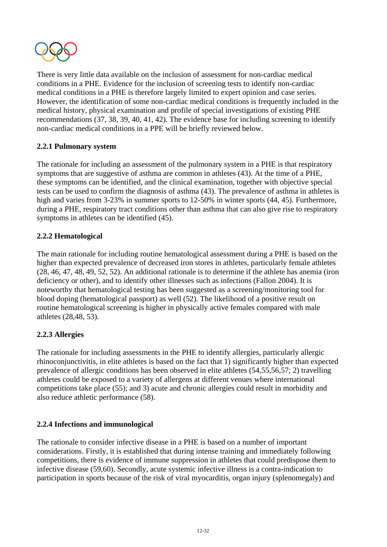

There is very little data available on the inclusion of assessment for non-cardiac medical conditions in a PHE. Evidence for the inclusion of screening tests to identify non-cardiac medical conditions in a PHE is therefore largely limited to expert opinion and case series. However, the identification of some non-cardiac medical conditions is frequently included in the medical history, physical examination and profile of special investigations of existing PHE recommendations (37, 38, 39, 40, 41, 42). The evidence base for including screening to identify non-cardiac medical conditions in a PPE will be briefly reviewed below.

#### **2.2.1 Pulmonary system**

The rationale for including an assessment of the pulmonary system in a PHE is that respiratory symptoms that are suggestive of asthma are common in athletes (43). At the time of a PHE, these symptoms can be identified, and the clinical examination, together with objective special tests can be used to confirm the diagnosis of asthma (43). The prevalence of asthma in athletes is high and varies from 3-23% in summer sports to 12-50% in winter sports  $(44, 45)$ . Furthermore, during a PHE, respiratory tract conditions other than asthma that can also give rise to respiratory symptoms in athletes can be identified (45).

#### **2.2.2 Hematological**

The main rationale for including routine hematological assessment during a PHE is based on the higher than expected prevalence of decreased iron stores in athletes, particularly female athletes (28, 46, 47, 48, 49, 52, 52). An additional rationale is to determine if the athlete has anemia (iron deficiency or other), and to identify other illnesses such as infections (Fallon 2004). It is noteworthy that hematological testing has been suggested as a screening/monitoring tool for blood doping (hematological passport) as well (52). The likelihood of a positive result on routine hematological screening is higher in physically active females compared with male athletes (28,48, 53).

#### **2.2.3 Allergies**

The rationale for including assessments in the PHE to identify allergies, particularly allergic rhinoconjunctivitis, in elite athletes is based on the fact that 1) significantly higher than expected prevalence of allergic conditions has been observed in elite athletes (54,55,56,57; 2) travelling athletes could be exposed to a variety of allergens at different venues where international competitions take place (55); and 3) acute and chronic allergies could result in morbidity and also reduce athletic performance (58).

#### **2.2.4 Infections and immunological**

The rationale to consider infective disease in a PHE is based on a number of important considerations. Firstly, it is established that during intense training and immediately following competitions, there is evidence of immune suppression in athletes that could predispose them to infective disease (59,60). Secondly, acute systemic infective illness is a contra-indication to participation in sports because of the risk of viral myocarditis, organ injury (splenomegaly) and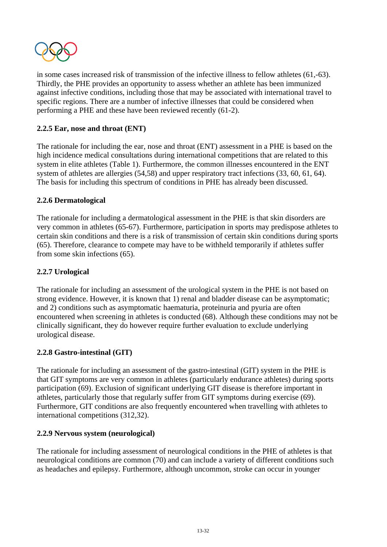

in some cases increased risk of transmission of the infective illness to fellow athletes (61,-63). Thirdly, the PHE provides an opportunity to assess whether an athlete has been immunized against infective conditions, including those that may be associated with international travel to specific regions. There are a number of infective illnesses that could be considered when performing a PHE and these have been reviewed recently (61-2).

#### **2.2.5 Ear, nose and throat (ENT)**

The rationale for including the ear, nose and throat (ENT) assessment in a PHE is based on the high incidence medical consultations during international competitions that are related to this system in elite athletes (Table 1). Furthermore, the common illnesses encountered in the ENT system of athletes are allergies (54,58) and upper respiratory tract infections (33, 60, 61, 64). The basis for including this spectrum of conditions in PHE has already been discussed.

#### **2.2.6 Dermatological**

The rationale for including a dermatological assessment in the PHE is that skin disorders are very common in athletes (65-67). Furthermore, participation in sports may predispose athletes to certain skin conditions and there is a risk of transmission of certain skin conditions during sports (65). Therefore, clearance to compete may have to be withheld temporarily if athletes suffer from some skin infections (65).

#### **2.2.7 Urological**

The rationale for including an assessment of the urological system in the PHE is not based on strong evidence. However, it is known that 1) renal and bladder disease can be asymptomatic; and 2) conditions such as asymptomatic haematuria, proteinuria and pyuria are often encountered when screening in athletes is conducted (68). Although these conditions may not be clinically significant, they do however require further evaluation to exclude underlying urological disease.

#### **2.2.8 Gastro-intestinal (GIT)**

The rationale for including an assessment of the gastro-intestinal (GIT) system in the PHE is that GIT symptoms are very common in athletes (particularly endurance athletes) during sports participation (69). Exclusion of significant underlying GIT disease is therefore important in athletes, particularly those that regularly suffer from GIT symptoms during exercise (69). Furthermore, GIT conditions are also frequently encountered when travelling with athletes to international competitions (312,32).

#### **2.2.9 Nervous system (neurological)**

The rationale for including assessment of neurological conditions in the PHE of athletes is that neurological conditions are common (70) and can include a variety of different conditions such as headaches and epilepsy. Furthermore, although uncommon, stroke can occur in younger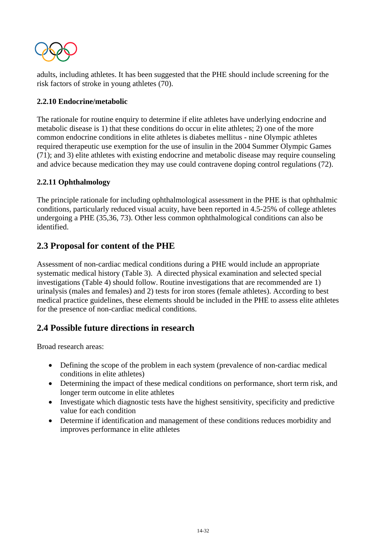

adults, including athletes. It has been suggested that the PHE should include screening for the risk factors of stroke in young athletes (70).

#### **2.2.10 Endocrine/metabolic**

The rationale for routine enquiry to determine if elite athletes have underlying endocrine and metabolic disease is 1) that these conditions do occur in elite athletes; 2) one of the more common endocrine conditions in elite athletes is diabetes mellitus - nine Olympic athletes required therapeutic use exemption for the use of insulin in the 2004 Summer Olympic Games (71); and 3) elite athletes with existing endocrine and metabolic disease may require counseling and advice because medication they may use could contravene doping control regulations (72).

#### **2.2.11 Ophthalmology**

The principle rationale for including ophthalmological assessment in the PHE is that ophthalmic conditions, particularly reduced visual acuity, have been reported in 4.5-25% of college athletes undergoing a PHE (35,36, 73). Other less common ophthalmological conditions can also be identified.

### **2.3 Proposal for content of the PHE**

Assessment of non-cardiac medical conditions during a PHE would include an appropriate systematic medical history (Table 3). A directed physical examination and selected special investigations (Table 4) should follow. Routine investigations that are recommended are 1) urinalysis (males and females) and 2) tests for iron stores (female athletes). According to best medical practice guidelines, these elements should be included in the PHE to assess elite athletes for the presence of non-cardiac medical conditions.

### **2.4 Possible future directions in research**

Broad research areas:

- Defining the scope of the problem in each system (prevalence of non-cardiac medical conditions in elite athletes)
- Determining the impact of these medical conditions on performance, short term risk, and longer term outcome in elite athletes
- Investigate which diagnostic tests have the highest sensitivity, specificity and predictive value for each condition
- Determine if identification and management of these conditions reduces morbidity and improves performance in elite athletes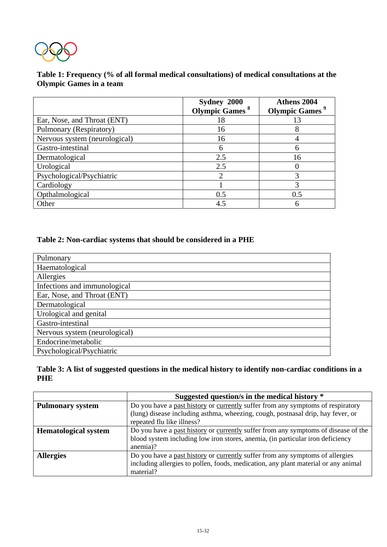

#### **Table 1: Frequency (% of all formal medical consultations) of medical consultations at the Olympic Games in a team**

|                               | Sydney 2000<br>Olympic Games <sup>8</sup> | Athens 2004<br><b>Olympic Games</b> |
|-------------------------------|-------------------------------------------|-------------------------------------|
| Ear, Nose, and Throat (ENT)   | 18                                        | 13                                  |
| Pulmonary (Respiratory)       | 16                                        |                                     |
| Nervous system (neurological) | 16                                        |                                     |
| Gastro-intestinal             | 6                                         |                                     |
| Dermatological                | 2.5                                       | 16                                  |
| Urological                    | 2.5                                       |                                     |
| Psychological/Psychiatric     | 2                                         | 3                                   |
| Cardiology                    |                                           |                                     |
| Opthalmological               | 0.5                                       | 0.5                                 |
| Other                         | 4.5                                       |                                     |

#### **Table 2: Non-cardiac systems that should be considered in a PHE**

| Pulmonary                     |
|-------------------------------|
| Haematological                |
| Allergies                     |
| Infections and immunological  |
| Ear, Nose, and Throat (ENT)   |
| Dermatological                |
| Urological and genital        |
| Gastro-intestinal             |
| Nervous system (neurological) |
| Endocrine/metabolic           |
| Psychological/Psychiatric     |

#### **Table 3: A list of suggested questions in the medical history to identify non-cardiac conditions in a PHE**

|                             | Suggested question/s in the medical history *                                      |  |  |  |
|-----------------------------|------------------------------------------------------------------------------------|--|--|--|
| <b>Pulmonary system</b>     | Do you have a past history or currently suffer from any symptoms of respiratory    |  |  |  |
|                             | (lung) disease including asthma, wheezing, cough, postnasal drip, hay fever, or    |  |  |  |
|                             | repeated flu like illness?                                                         |  |  |  |
| <b>Hematological system</b> | Do you have a past history or currently suffer from any symptoms of disease of the |  |  |  |
|                             | blood system including low iron stores, anemia, (in particular iron deficiency     |  |  |  |
|                             | anemia)?                                                                           |  |  |  |
| <b>Allergies</b>            | Do you have a past history or currently suffer from any symptoms of allergies      |  |  |  |
|                             | including allergies to pollen, foods, medication, any plant material or any animal |  |  |  |
|                             | material?                                                                          |  |  |  |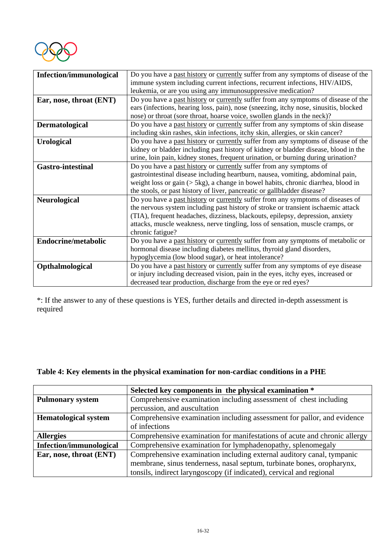

| Infection/immunological    | Do you have a past history or currently suffer from any symptoms of disease of the    |
|----------------------------|---------------------------------------------------------------------------------------|
|                            | immune system including current infections, recurrent infections, HIV/AIDS,           |
|                            | leukemia, or are you using any immunosuppressive medication?                          |
| Ear, nose, throat (ENT)    | Do you have a past history or currently suffer from any symptoms of disease of the    |
|                            | ears (infections, hearing loss, pain), nose (sneezing, itchy nose, sinusitis, blocked |
|                            | nose) or throat (sore throat, hoarse voice, swollen glands in the neck)?              |
| Dermatological             | Do you have a past history or currently suffer from any symptoms of skin disease      |
|                            | including skin rashes, skin infections, itchy skin, allergies, or skin cancer?        |
| <b>Urological</b>          | Do you have a past history or currently suffer from any symptoms of disease of the    |
|                            | kidney or bladder including past history of kidney or bladder disease, blood in the   |
|                            | urine, loin pain, kidney stones, frequent urination, or burning during urination?     |
| <b>Gastro-intestinal</b>   | Do you have a past history or currently suffer from any symptoms of                   |
|                            | gastrointestinal disease including heartburn, nausea, vomiting, abdominal pain,       |
|                            | weight loss or gain $($ > 5kg), a change in bowel habits, chronic diarrhea, blood in  |
|                            | the stools, or past history of liver, pancreatic or gallbladder disease?              |
| <b>Neurological</b>        | Do you have a past history or currently suffer from any symptoms of diseases of       |
|                            | the nervous system including past history of stroke or transient ischaemic attack     |
|                            | (TIA), frequent headaches, dizziness, blackouts, epilepsy, depression, anxiety        |
|                            | attacks, muscle weakness, nerve tingling, loss of sensation, muscle cramps, or        |
|                            | chronic fatigue?                                                                      |
| <b>Endocrine/metabolic</b> | Do you have a past history or currently suffer from any symptoms of metabolic or      |
|                            | hormonal disease including diabetes mellitus, thyroid gland disorders,                |
|                            | hypoglycemia (low blood sugar), or heat intolerance?                                  |
| Opthalmological            | Do you have a past history or currently suffer from any symptoms of eye disease       |
|                            | or injury including decreased vision, pain in the eyes, itchy eyes, increased or      |
|                            | decreased tear production, discharge from the eye or red eyes?                        |

\*: If the answer to any of these questions is YES, further details and directed in-depth assessment is required

|  |  | Table 4: Key elements in the physical examination for non-cardiac conditions in a PHE |  |  |
|--|--|---------------------------------------------------------------------------------------|--|--|
|  |  |                                                                                       |  |  |
|  |  |                                                                                       |  |  |

|                                | Selected key components in the physical examination *                     |  |
|--------------------------------|---------------------------------------------------------------------------|--|
| <b>Pulmonary system</b>        | Comprehensive examination including assessment of chest including         |  |
|                                | percussion, and auscultation                                              |  |
| <b>Hematological system</b>    | Comprehensive examination including assessment for pallor, and evidence   |  |
|                                | of infections                                                             |  |
| <b>Allergies</b>               | Comprehensive examination for manifestations of acute and chronic allergy |  |
| <b>Infection/immunological</b> | Comprehensive examination for lymphadenopathy, splenomegaly               |  |
| Ear, nose, throat (ENT)        | Comprehensive examination including external auditory canal, tympanic     |  |
|                                | membrane, sinus tenderness, nasal septum, turbinate bones, oropharynx,    |  |
|                                | tonsils, indirect laryngoscopy (if indicated), cervical and regional      |  |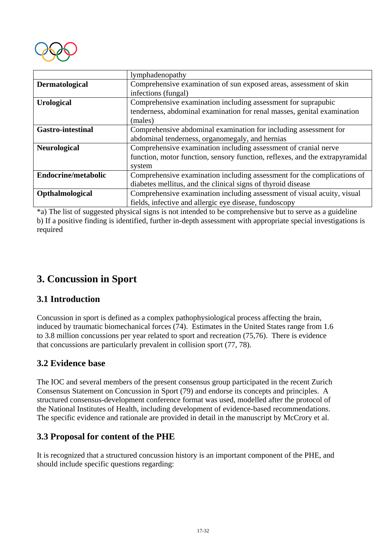

|                            | lymphadenopathy                                                              |  |
|----------------------------|------------------------------------------------------------------------------|--|
| Dermatological             | Comprehensive examination of sun exposed areas, assessment of skin           |  |
|                            | infections (fungal)                                                          |  |
| <b>Urological</b>          | Comprehensive examination including assessment for suprapubic                |  |
|                            | tenderness, abdominal examination for renal masses, genital examination      |  |
|                            | (males)                                                                      |  |
| <b>Gastro-intestinal</b>   | Comprehensive abdominal examination for including assessment for             |  |
|                            | abdominal tenderness, organomegaly, and hernias                              |  |
| <b>Neurological</b>        | Comprehensive examination including assessment of cranial nerve              |  |
|                            | function, motor function, sensory function, reflexes, and the extrapyramidal |  |
|                            | system                                                                       |  |
| <b>Endocrine/metabolic</b> | Comprehensive examination including assessment for the complications of      |  |
|                            | diabetes mellitus, and the clinical signs of thyroid disease                 |  |
| Opthalmological            | Comprehensive examination including assessment of visual acuity, visual      |  |
|                            | fields, infective and allergic eye disease, fundoscopy                       |  |

\*a) The list of suggested physical signs is not intended to be comprehensive but to serve as a guideline b) If a positive finding is identified, further in-depth assessment with appropriate special investigations is required

# **3. Concussion in Sport**

### **3.1 Introduction**

Concussion in sport is defined as a complex pathophysiological process affecting the brain, induced by traumatic biomechanical forces (74). Estimates in the United States range from 1.6 to 3.8 million concussions per year related to sport and recreation (75,76). There is evidence that concussions are particularly prevalent in collision sport (77, 78).

### **3.2 Evidence base**

The IOC and several members of the present consensus group participated in the recent Zurich Consensus Statement on Concussion in Sport (79) and endorse its concepts and principles. A structured consensus-development conference format was used, modelled after the protocol of the National Institutes of Health, including development of evidence-based recommendations. The specific evidence and rationale are provided in detail in the manuscript by McCrory et al.

### **3.3 Proposal for content of the PHE**

It is recognized that a structured concussion history is an important component of the PHE, and should include specific questions regarding: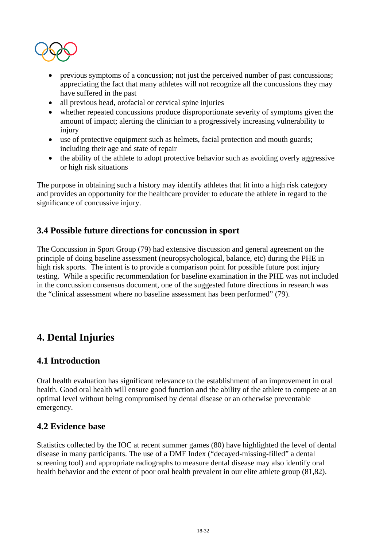

- previous symptoms of a concussion; not just the perceived number of past concussions; appreciating the fact that many athletes will not recognize all the concussions they may have suffered in the past
- all previous head, orofacial or cervical spine injuries
- whether repeated concussions produce disproportionate severity of symptoms given the amount of impact; alerting the clinician to a progressively increasing vulnerability to injury
- use of protective equipment such as helmets, facial protection and mouth guards; including their age and state of repair
- the ability of the athlete to adopt protective behavior such as avoiding overly aggressive or high risk situations

The purpose in obtaining such a history may identify athletes that fit into a high risk category and provides an opportunity for the healthcare provider to educate the athlete in regard to the significance of concussive injury.

### **3.4 Possible future directions for concussion in sport**

The Concussion in Sport Group (79) had extensive discussion and general agreement on the principle of doing baseline assessment (neuropsychological, balance, etc) during the PHE in high risk sports. The intent is to provide a comparison point for possible future post injury testing. While a specific recommendation for baseline examination in the PHE was not included in the concussion consensus document, one of the suggested future directions in research was the "clinical assessment where no baseline assessment has been performed" (79).

# **4. Dental Injuries**

### **4.1 Introduction**

Oral health evaluation has significant relevance to the establishment of an improvement in oral health. Good oral health will ensure good function and the ability of the athlete to compete at an optimal level without being compromised by dental disease or an otherwise preventable emergency.

### **4.2 Evidence base**

Statistics collected by the IOC at recent summer games (80) have highlighted the level of dental disease in many participants. The use of a DMF Index ("decayed-missing-filled" a dental screening tool) and appropriate radiographs to measure dental disease may also identify oral health behavior and the extent of poor oral health prevalent in our elite athlete group (81,82).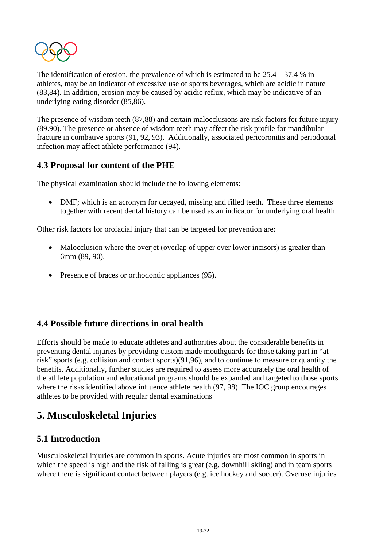

The identification of erosion, the prevalence of which is estimated to be 25.4 – 37.4 % in athletes, may be an indicator of excessive use of sports beverages, which are acidic in nature (83,84). In addition, erosion may be caused by acidic reflux, which may be indicative of an underlying eating disorder (85,86).

The presence of wisdom teeth (87,88) and certain malocclusions are risk factors for future injury (89.90). The presence or absence of wisdom teeth may affect the risk profile for mandibular fracture in combative sports (91, 92, 93). Additionally, associated pericoronitis and periodontal infection may affect athlete performance (94).

### **4.3 Proposal for content of the PHE**

The physical examination should include the following elements:

• DMF; which is an acronym for decayed, missing and filled teeth. These three elements together with recent dental history can be used as an indicator for underlying oral health.

Other risk factors for orofacial injury that can be targeted for prevention are:

- Malocclusion where the overjet (overlap of upper over lower incisors) is greater than 6mm (89, 90).
- Presence of braces or orthodontic appliances (95).

### **4.4 Possible future directions in oral health**

Efforts should be made to educate athletes and authorities about the considerable benefits in preventing dental injuries by providing custom made mouthguards for those taking part in "at risk" sports (e.g. collision and contact sports)(91,96), and to continue to measure or quantify the benefits. Additionally, further studies are required to assess more accurately the oral health of the athlete population and educational programs should be expanded and targeted to those sports where the risks identified above influence athlete health (97, 98). The IOC group encourages athletes to be provided with regular dental examinations

# **5. Musculoskeletal Injuries**

### **5.1 Introduction**

Musculoskeletal injuries are common in sports. Acute injuries are most common in sports in which the speed is high and the risk of falling is great (e.g. downhill skiing) and in team sports where there is significant contact between players (e.g. ice hockey and soccer). Overuse injuries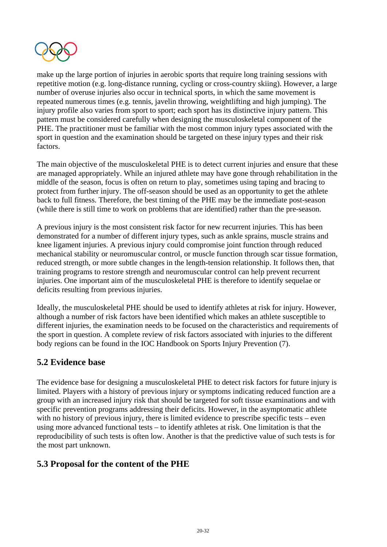

make up the large portion of injuries in aerobic sports that require long training sessions with repetitive motion (e.g. long-distance running, cycling or cross-country skiing). However, a large number of overuse injuries also occur in technical sports, in which the same movement is repeated numerous times (e.g. tennis, javelin throwing, weightlifting and high jumping). The injury profile also varies from sport to sport; each sport has its distinctive injury pattern. This pattern must be considered carefully when designing the musculoskeletal component of the PHE. The practitioner must be familiar with the most common injury types associated with the sport in question and the examination should be targeted on these injury types and their risk factors.

The main objective of the musculoskeletal PHE is to detect current injuries and ensure that these are managed appropriately. While an injured athlete may have gone through rehabilitation in the middle of the season, focus is often on return to play, sometimes using taping and bracing to protect from further injury. The off-season should be used as an opportunity to get the athlete back to full fitness. Therefore, the best timing of the PHE may be the immediate post-season (while there is still time to work on problems that are identified) rather than the pre-season.

A previous injury is the most consistent risk factor for new recurrent injuries. This has been demonstrated for a number of different injury types, such as ankle sprains, muscle strains and knee ligament injuries. A previous injury could compromise joint function through reduced mechanical stability or neuromuscular control, or muscle function through scar tissue formation, reduced strength, or more subtle changes in the length-tension relationship. It follows then, that training programs to restore strength and neuromuscular control can help prevent recurrent injuries. One important aim of the musculoskeletal PHE is therefore to identify sequelae or deficits resulting from previous injuries.

Ideally, the musculoskeletal PHE should be used to identify athletes at risk for injury. However, although a number of risk factors have been identified which makes an athlete susceptible to different injuries, the examination needs to be focused on the characteristics and requirements of the sport in question. A complete review of risk factors associated with injuries to the different body regions can be found in the IOC Handbook on Sports Injury Prevention (7).

### **5.2 Evidence base**

The evidence base for designing a musculoskeletal PHE to detect risk factors for future injury is limited. Players with a history of previous injury or symptoms indicating reduced function are a group with an increased injury risk that should be targeted for soft tissue examinations and with specific prevention programs addressing their deficits. However, in the asymptomatic athlete with no history of previous injury, there is limited evidence to prescribe specific tests – even using more advanced functional tests – to identify athletes at risk. One limitation is that the reproducibility of such tests is often low. Another is that the predictive value of such tests is for the most part unknown.

### **5.3 Proposal for the content of the PHE**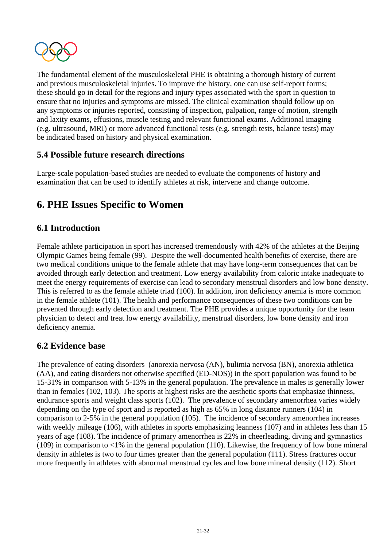

The fundamental element of the musculoskeletal PHE is obtaining a thorough history of current and previous musculoskeletal injuries. To improve the history, one can use self-report forms; these should go in detail for the regions and injury types associated with the sport in question to ensure that no injuries and symptoms are missed. The clinical examination should follow up on any symptoms or injuries reported, consisting of inspection, palpation, range of motion, strength and laxity exams, effusions, muscle testing and relevant functional exams. Additional imaging (e.g. ultrasound, MRI) or more advanced functional tests (e.g. strength tests, balance tests) may be indicated based on history and physical examination.

### **5.4 Possible future research directions**

Large-scale population-based studies are needed to evaluate the components of history and examination that can be used to identify athletes at risk, intervene and change outcome.

# **6. PHE Issues Specific to Women**

### **6.1 Introduction**

Female athlete participation in sport has increased tremendously with 42% of the athletes at the Beijing Olympic Games being female (99). Despite the well-documented health benefits of exercise, there are two medical conditions unique to the female athlete that may have long-term consequences that can be avoided through early detection and treatment. Low energy availability from caloric intake inadequate to meet the energy requirements of exercise can lead to secondary menstrual disorders and low bone density. This is referred to as the female athlete triad (100). In addition, iron deficiency anemia is more common in the female athlete (101). The health and performance consequences of these two conditions can be prevented through early detection and treatment. The PHE provides a unique opportunity for the team physician to detect and treat low energy availability, menstrual disorders, low bone density and iron deficiency anemia.

### **6.2 Evidence base**

The prevalence of eating disorders (anorexia nervosa (AN), bulimia nervosa (BN), anorexia athletica (AA), and eating disorders not otherwise specified (ED-NOS)) in the sport population was found to be 15-31% in comparison with 5-13% in the general population. The prevalence in males is generally lower than in females (102, 103). The sports at highest risks are the aesthetic sports that emphasize thinness, endurance sports and weight class sports (102). The prevalence of secondary amenorrhea varies widely depending on the type of sport and is reported as high as 65% in long distance runners (104) in comparison to 2-5% in the general population (105). The incidence of secondary amenorrhea increases with weekly mileage (106), with athletes in sports emphasizing leanness (107) and in athletes less than 15 years of age (108). The incidence of primary amenorrhea is 22% in cheerleading, diving and gymnastics (109) in comparison to <1% in the general population (110). Likewise, the frequency of low bone mineral density in athletes is two to four times greater than the general population (111). Stress fractures occur more frequently in athletes with abnormal menstrual cycles and low bone mineral density (112). Short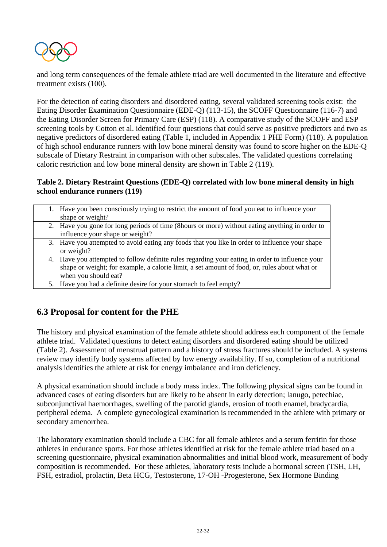

and long term consequences of the female athlete triad are well documented in the literature and effective treatment exists (100).

For the detection of eating disorders and disordered eating, several validated screening tools exist: the Eating Disorder Examination Questionnaire (EDE-Q) (113-15), the SCOFF Questionnaire (116-7) and the Eating Disorder Screen for Primary Care (ESP) (118). A comparative study of the SCOFF and ESP screening tools by Cotton et al. identified four questions that could serve as positive predictors and two as negative predictors of disordered eating (Table 1, included in Appendix 1 PHE Form) (118). A population of high school endurance runners with low bone mineral density was found to score higher on the EDE-Q subscale of Dietary Restraint in comparison with other subscales. The validated questions correlating caloric restriction and low bone mineral density are shown in Table 2 (119).

#### **Table 2. Dietary Restraint Questions (EDE-Q) correlated with low bone mineral density in high school endurance runners (119)**

|    | 1. Have you been consciously trying to restrict the amount of food you eat to influence your<br>shape or weight?                                                                                                        |
|----|-------------------------------------------------------------------------------------------------------------------------------------------------------------------------------------------------------------------------|
|    | 2. Have you gone for long periods of time (8 hours or more) without eating anything in order to<br>influence your shape or weight?                                                                                      |
|    | 3. Have you attempted to avoid eating any foods that you like in order to influence your shape<br>or weight?                                                                                                            |
|    | 4. Have you attempted to follow definite rules regarding your eating in order to influence your<br>shape or weight; for example, a calorie limit, a set amount of food, or, rules about what or<br>when you should eat? |
| 5. | Have you had a definite desire for your stomach to feel empty?                                                                                                                                                          |

### **6.3 Proposal for content for the PHE**

The history and physical examination of the female athlete should address each component of the female athlete triad. Validated questions to detect eating disorders and disordered eating should be utilized (Table 2). Assessment of menstrual pattern and a history of stress fractures should be included. A systems review may identify body systems affected by low energy availability. If so, completion of a nutritional analysis identifies the athlete at risk for energy imbalance and iron deficiency.

A physical examination should include a body mass index. The following physical signs can be found in advanced cases of eating disorders but are likely to be absent in early detection; lanugo, petechiae, subconjunctival haemorrhages, swelling of the parotid glands, erosion of tooth enamel, bradycardia, peripheral edema. A complete gynecological examination is recommended in the athlete with primary or secondary amenorrhea.

The laboratory examination should include a CBC for all female athletes and a serum ferritin for those athletes in endurance sports. For those athletes identified at risk for the female athlete triad based on a screening questionnaire, physical examination abnormalities and initial blood work, measurement of body composition is recommended. For these athletes, laboratory tests include a hormonal screen (TSH, LH, FSH, estradiol, prolactin, Beta HCG, Testosterone, 17-OH -Progesterone, Sex Hormone Binding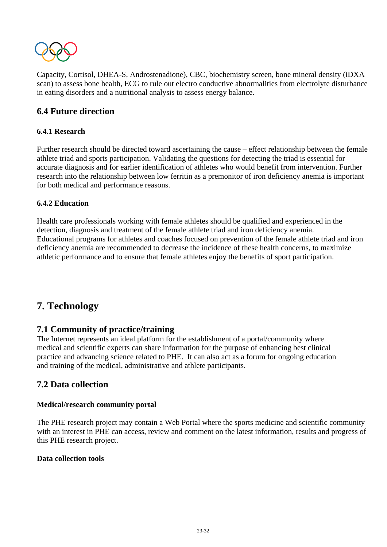

Capacity, Cortisol, DHEA-S, Androstenadione), CBC, biochemistry screen, bone mineral density (iDXA scan) to assess bone health, ECG to rule out electro conductive abnormalities from electrolyte disturbance in eating disorders and a nutritional analysis to assess energy balance.

### **6.4 Future direction**

#### **6.4.1 Research**

Further research should be directed toward ascertaining the cause – effect relationship between the female athlete triad and sports participation. Validating the questions for detecting the triad is essential for accurate diagnosis and for earlier identification of athletes who would benefit from intervention. Further research into the relationship between low ferritin as a premonitor of iron deficiency anemia is important for both medical and performance reasons.

#### **6.4.2 Education**

Health care professionals working with female athletes should be qualified and experienced in the detection, diagnosis and treatment of the female athlete triad and iron deficiency anemia. Educational programs for athletes and coaches focused on prevention of the female athlete triad and iron deficiency anemia are recommended to decrease the incidence of these health concerns, to maximize athletic performance and to ensure that female athletes enjoy the benefits of sport participation.

# **7. Technology**

### **7.1 Community of practice/training**

The Internet represents an ideal platform for the establishment of a portal/community where medical and scientific experts can share information for the purpose of enhancing best clinical practice and advancing science related to PHE. It can also act as a forum for ongoing education and training of the medical, administrative and athlete participants.

### **7.2 Data collection**

#### **Medical/research community portal**

The PHE research project may contain a Web Portal where the sports medicine and scientific community with an interest in PHE can access, review and comment on the latest information, results and progress of this PHE research project.

#### **Data collection tools**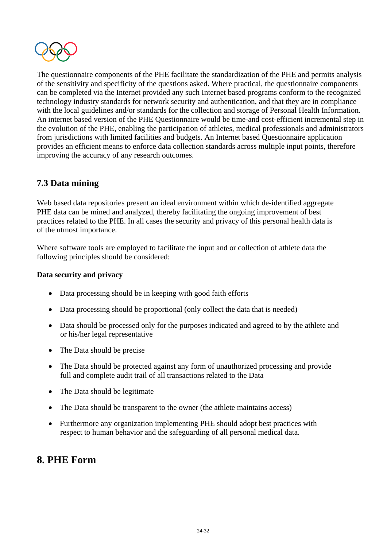

The questionnaire components of the PHE facilitate the standardization of the PHE and permits analysis of the sensitivity and specificity of the questions asked. Where practical, the questionnaire components can be completed via the Internet provided any such Internet based programs conform to the recognized technology industry standards for network security and authentication, and that they are in compliance with the local guidelines and/or standards for the collection and storage of Personal Health Information. An internet based version of the PHE Questionnaire would be time-and cost-efficient incremental step in the evolution of the PHE, enabling the participation of athletes, medical professionals and administrators from jurisdictions with limited facilities and budgets. An Internet based Questionnaire application provides an efficient means to enforce data collection standards across multiple input points, therefore improving the accuracy of any research outcomes.

### **7.3 Data mining**

Web based data repositories present an ideal environment within which de-identified aggregate PHE data can be mined and analyzed, thereby facilitating the ongoing improvement of best practices related to the PHE. In all cases the security and privacy of this personal health data is of the utmost importance.

Where software tools are employed to facilitate the input and or collection of athlete data the following principles should be considered:

#### **Data security and privacy**

- Data processing should be in keeping with good faith efforts
- Data processing should be proportional (only collect the data that is needed)
- Data should be processed only for the purposes indicated and agreed to by the athlete and or his/her legal representative
- The Data should be precise
- The Data should be protected against any form of unauthorized processing and provide full and complete audit trail of all transactions related to the Data
- The Data should be legitimate
- The Data should be transparent to the owner (the athlete maintains access)
- Furthermore any organization implementing PHE should adopt best practices with respect to human behavior and the safeguarding of all personal medical data.

# **8. PHE Form**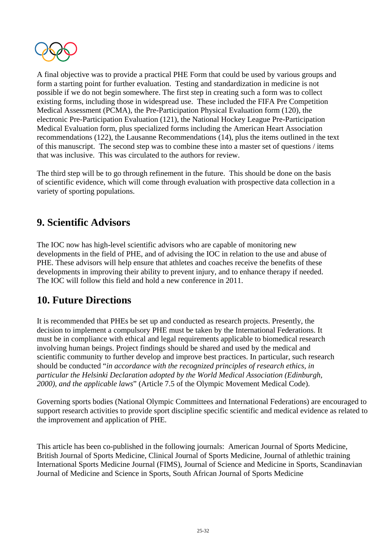

A final objective was to provide a practical PHE Form that could be used by various groups and form a starting point for further evaluation. Testing and standardization in medicine is not possible if we do not begin somewhere. The first step in creating such a form was to collect existing forms, including those in widespread use. These included the FIFA Pre Competition Medical Assessment (PCMA), the Pre-Participation Physical Evaluation form (120), the electronic Pre-Participation Evaluation (121), the National Hockey League Pre-Participation Medical Evaluation form, plus specialized forms including the American Heart Association recommendations (122), the Lausanne Recommendations (14), plus the items outlined in the text of this manuscript. The second step was to combine these into a master set of questions / items that was inclusive. This was circulated to the authors for review.

The third step will be to go through refinement in the future. This should be done on the basis of scientific evidence, which will come through evaluation with prospective data collection in a variety of sporting populations.

# **9. Scientific Advisors**

The IOC now has high-level scientific advisors who are capable of monitoring new developments in the field of PHE, and of advising the IOC in relation to the use and abuse of PHE. These advisors will help ensure that athletes and coaches receive the benefits of these developments in improving their ability to prevent injury, and to enhance therapy if needed. The IOC will follow this field and hold a new conference in 2011.

# **10. Future Directions**

It is recommended that PHEs be set up and conducted as research projects. Presently, the decision to implement a compulsory PHE must be taken by the International Federations. It must be in compliance with ethical and legal requirements applicable to biomedical research involving human beings. Project findings should be shared and used by the medical and scientific community to further develop and improve best practices. In particular, such research should be conducted "*in accordance with the recognized principles of research ethics, in particular the Helsinki Declaration adopted by the World Medical Association (Edinburgh, 2000), and the applicable laws*" (Article 7.5 of the Olympic Movement Medical Code).

Governing sports bodies (National Olympic Committees and International Federations) are encouraged to support research activities to provide sport discipline specific scientific and medical evidence as related to the improvement and application of PHE.

This article has been co-published in the following journals: American Journal of Sports Medicine, British Journal of Sports Medicine, Clinical Journal of Sports Medicine, Journal of athlethic training International Sports Medicine Journal (FIMS), Journal of Science and Medicine in Sports, Scandinavian Journal of Medicine and Science in Sports, South African Journal of Sports Medicine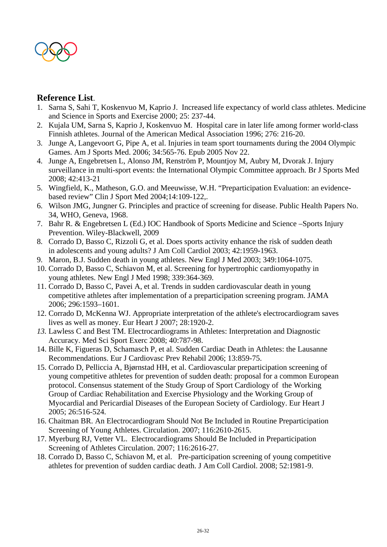

### **Reference List**.

- 1. Sarna S, Sahi T, Koskenvuo M, Kaprio J. Increased life expectancy of world class athletes. Medicine and Science in Sports and Exercise 2000; 25: 237-44.
- 2. Kujala UM, Sarna S, Kaprio J, Koskenvuo M. Hospital care in later life among former world-class Finnish athletes. Journal of the American Medical Association 1996; 276: 216-20.
- 3. Junge A, Langevoort G, Pipe A, et al. Injuries in team sport tournaments during the 2004 Olympic Games. Am J Sports Med. 2006; 34:565-76. Epub 2005 Nov 22.
- 4. Junge A, Engebretsen L, Alonso JM, Renström P, Mountjoy M, Aubry M, Dvorak J. Injury surveillance in multi-sport events: the International Olympic Committee approach. Br J Sports Med 2008; 42:413-21
- 5. Wingfield, K., Matheson, G.O. and Meeuwisse, W.H. "Preparticipation Evaluation: an evidencebased review" Clin J Sport Med 2004;14:109-122,.
- 6. Wilson JMG, Jungner G. Principles and practice of screening for disease. Public Health Papers No. 34, WHO, Geneva, 1968.
- 7. Bahr R. & Engebretsen L (Ed.) IOC Handbook of Sports Medicine and Science –Sports Injury Prevention. Wiley-Blackwell, 2009
- 8. Corrado D, Basso C, Rizzoli G, et al. Does sports activity enhance the risk of sudden death in adolescents and young adults? J Am Coll Cardiol 2003; 42:1959-1963.
- 9. Maron, B.J. Sudden death in young athletes. New Engl J Med 2003; 349:1064-1075.
- 10. Corrado D, Basso C, Schiavon M, et al. Screening for hypertrophic cardiomyopathy in young athletes. New Engl J Med 1998; 339:364-369.
- 11. Corrado D, Basso C, Pavei A, et al. Trends in sudden cardiovascular death in young competitive athletes after implementation of a preparticipation screening program. JAMA 2006; 296:1593–1601.
- 12. Corrado D, McKenna WJ. Appropriate interpretation of the athlete's electrocardiogram saves lives as well as money. Eur Heart J 2007; 28:1920-2.
- *13.* Lawless C and Best TM. Electrocardiograms in Athletes: Interpretation and Diagnostic Accuracy. Med Sci Sport Exerc 2008; 40:787-98.
- 14. Bille K, Figueras D, Schamasch P, et al. Sudden Cardiac Death in Athletes: the Lausanne Recommendations. Eur J Cardiovasc Prev Rehabil 2006; 13:859-75.
- 15. Corrado D, Pelliccia A, Bjørnstad HH, et al. Cardiovascular preparticipation screening of young competitive athletes for prevention of sudden death: proposal for a common European protocol. Consensus statement of the Study Group of Sport Cardiology of the Working Group of Cardiac Rehabilitation and Exercise Physiology and the Working Group of Myocardial and Pericardial Diseases of the European Society of Cardiology. Eur Heart J 2005; 26:516-524.
- 16. Chaitman BR. An Electrocardiogram Should Not Be Included in Routine Preparticipation Screening of Young Athletes. Circulation. 2007; 116:2610-2615.
- 17. Myerburg RJ, Vetter VL. Electrocardiograms Should Be Included in Preparticipation Screening of Athletes Circulation. 2007; 116:2616-27.
- 18. Corrado D, Basso C, Schiavon M, et al. Pre-participation screening of young competitive athletes for prevention of sudden cardiac death. J Am Coll Cardiol. 2008; 52:1981-9.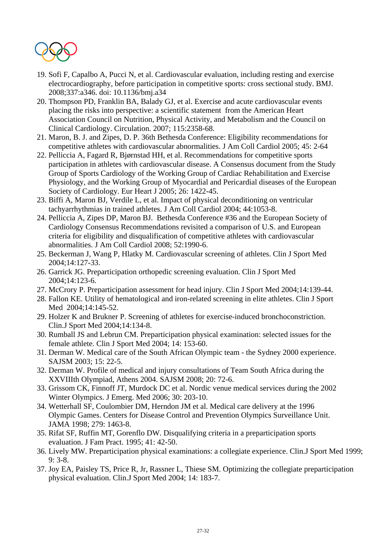

- 19. Sofi F, Capalbo A, Pucci N, et al. Cardiovascular evaluation, including resting and exercise electrocardiography, before participation in competitive sports: cross sectional study. BMJ. 2008;337:a346. doi: 10.1136/bmj.a34
- 20. Thompson PD, Franklin BA, Balady GJ, et al. Exercise and acute cardiovascular events placing the risks into perspective: a scientific statement from the American Heart Association Council on Nutrition, Physical Activity, and Metabolism and the Council on Clinical Cardiology. Circulation. 2007; 115:2358-68.
- 21. Maron, B. J. and Zipes, D. P. 36th Bethesda Conference: Eligibility recommendations for competitive athletes with cardiovascular abnormalities. J Am Coll Cardiol 2005; 45: 2-64
- 22. Pelliccia A, Fagard R, Bjørnstad HH, et al. Recommendations for competitive sports participation in athletes with cardiovascular disease. A Consensus document from the Study Group of Sports Cardiology of the Working Group of Cardiac Rehabilitation and Exercise Physiology, and the Working Group of Myocardial and Pericardial diseases of the European Society of Cardiology. Eur Heart J 2005; 26: 1422-45.
- 23. Biffi A, Maron BJ, Verdile L, et al. Impact of physical deconditioning on ventricular tachyarrhythmias in trained athletes. J Am Coll Cardiol 2004; 44:1053-8.
- 24. Pelliccia A, Zipes DP, Maron BJ. Bethesda Conference #36 and the European Society of Cardiology Consensus Recommendations revisited a comparison of U.S. and European criteria for eligibility and disqualification of competitive athletes with cardiovascular abnormalities. J Am Coll Cardiol 2008; 52:1990-6.
- 25. Beckerman J, Wang P, Hlatky M. Cardiovascular screening of athletes. Clin J Sport Med 2004;14:127-33.
- 26. Garrick JG. Preparticipation orthopedic screening evaluation. Clin J Sport Med 2004;14:123-6.
- 27. McCrory P. Preparticipation assessment for head injury. Clin J Sport Med 2004;14:139-44.
- 28. Fallon KE. Utility of hematological and iron-related screening in elite athletes. Clin J Sport Med 2004;14:145-52.
- 29. Holzer K and Brukner P. Screening of athletes for exercise-induced bronchoconstriction. Clin.J Sport Med 2004;14:134-8.
- 30. Rumball JS and Lebrun CM. Preparticipation physical examination: selected issues for the female athlete. Clin J Sport Med 2004; 14: 153-60.
- 31. Derman W. Medical care of the South African Olympic team the Sydney 2000 experience. SAJSM 2003; 15: 22-5.
- 32. Derman W. Profile of medical and injury consultations of Team South Africa during the XXVIIIth Olympiad, Athens 2004. SAJSM 2008; 20: 72-6.
- 33. Grissom CK, Finnoff JT, Murdock DC et al. Nordic venue medical services during the 2002 Winter Olympics. J Emerg. Med 2006; 30: 203-10.
- 34. Wetterhall SF, Coulombier DM, Herndon JM et al. Medical care delivery at the 1996 Olympic Games. Centers for Disease Control and Prevention Olympics Surveillance Unit. JAMA 1998; 279: 1463-8.
- 35. Rifat SF, Ruffin MT, Gorenflo DW. Disqualifying criteria in a preparticipation sports evaluation. J Fam Pract. 1995; 41: 42-50.
- 36. Lively MW. Preparticipation physical examinations: a collegiate experience. Clin.J Sport Med 1999;  $9: 3-8.$
- 37. Joy EA, Paisley TS, Price R, Jr, Rassner L, Thiese SM. Optimizing the collegiate preparticipation physical evaluation. Clin.J Sport Med 2004; 14: 183-7.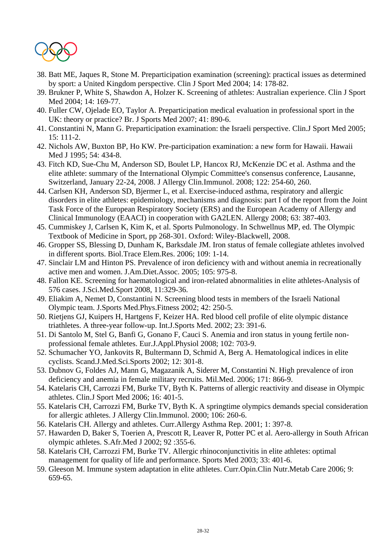

- 38. Batt ME, Jaques R, Stone M. Preparticipation examination (screening): practical issues as determined by sport: a United Kingdom perspective. Clin J Sport Med 2004; 14: 178-82.
- 39. Brukner P, White S, Shawdon A, Holzer K. Screening of athletes: Australian experience. Clin J Sport Med 2004; 14: 169-77.
- 40. Fuller CW, Ojelade EO, Taylor A. Preparticipation medical evaluation in professional sport in the UK: theory or practice? Br. J Sports Med 2007; 41: 890-6.
- 41. Constantini N, Mann G. Preparticipation examination: the Israeli perspective. Clin.J Sport Med 2005; 15: 111-2.
- 42. Nichols AW, Buxton BP, Ho KW. Pre-participation examination: a new form for Hawaii. Hawaii Med J 1995: 54: 434-8.
- 43. Fitch KD, Sue-Chu M, Anderson SD, Boulet LP, Hancox RJ, McKenzie DC et al. Asthma and the elite athlete: summary of the International Olympic Committee's consensus conference, Lausanne, Switzerland, January 22-24, 2008. J Allergy Clin.Immunol. 2008; 122: 254-60, 260.
- 44. Carlsen KH, Anderson SD, Bjermer L, et al. Exercise-induced asthma, respiratory and allergic disorders in elite athletes: epidemiology, mechanisms and diagnosis: part I of the report from the Joint Task Force of the European Respiratory Society (ERS) and the European Academy of Allergy and Clinical Immunology (EAACI) in cooperation with GA2LEN. Allergy 2008; 63: 387-403.
- 45. Cummiskey J, Carlsen K, Kim K, et al. Sports Pulmonology. In Schwellnus MP, ed. The Olympic Textbook of Medicine in Sport, pp 268-301. Oxford: Wiley-Blackwell, 2008.
- 46. Gropper SS, Blessing D, Dunham K, Barksdale JM. Iron status of female collegiate athletes involved in different sports. Biol.Trace Elem.Res. 2006; 109: 1-14.
- 47. Sinclair LM and Hinton PS. Prevalence of iron deficiency with and without anemia in recreationally active men and women. J.Am.Diet.Assoc. 2005; 105: 975-8.
- 48. Fallon KE. Screening for haematological and iron-related abnormalities in elite athletes-Analysis of 576 cases. J.Sci.Med.Sport 2008, 11:329-36.
- 49. Eliakim A, Nemet D, Constantini N. Screening blood tests in members of the Israeli National Olympic team. J.Sports Med.Phys.Fitness 2002; 42: 250-5.
- 50. Rietjens GJ, Kuipers H, Hartgens F, Keizer HA. Red blood cell profile of elite olympic distance triathletes. A three-year follow-up. Int.J.Sports Med. 2002; 23: 391-6.
- 51. Di Santolo M, Stel G, Banfi G, Gonano F, Cauci S. Anemia and iron status in young fertile nonprofessional female athletes. Eur.J.Appl.Physiol 2008; 102: 703-9.
- 52. Schumacher YO, Jankovits R, Bultermann D, Schmid A, Berg A. Hematological indices in elite cyclists. Scand.J.Med.Sci.Sports 2002; 12: 301-8.
- 53. Dubnov G, Foldes AJ, Mann G, Magazanik A, Siderer M, Constantini N. High prevalence of iron deficiency and anemia in female military recruits. Mil.Med. 2006; 171: 866-9.
- 54. Katelaris CH, Carrozzi FM, Burke TV, Byth K. Patterns of allergic reactivity and disease in Olympic athletes. Clin.J Sport Med 2006; 16: 401-5.
- 55. Katelaris CH, Carrozzi FM, Burke TV, Byth K. A springtime olympics demands special consideration for allergic athletes. J Allergy Clin.Immunol. 2000; 106: 260-6.
- 56. Katelaris CH. Allergy and athletes. Curr.Allergy Asthma Rep. 2001; 1: 397-8.
- 57. Hawarden D, Baker S, Toerien A, Prescott R, Leaver R, Potter PC et al. Aero-allergy in South African olympic athletes. S.Afr.Med J 2002; 92 :355-6.
- 58. Katelaris CH, Carrozzi FM, Burke TV. Allergic rhinoconjunctivitis in elite athletes: optimal management for quality of life and performance. Sports Med 2003; 33: 401-6.
- 59. Gleeson M. Immune system adaptation in elite athletes. Curr.Opin.Clin Nutr.Metab Care 2006; 9: 659-65.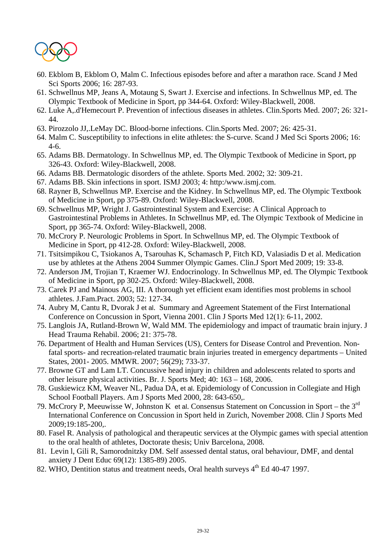

- 60. Ekblom B, Ekblom O, Malm C. Infectious episodes before and after a marathon race. Scand J Med Sci Sports 2006; 16: 287-93.
- 61. Schwellnus MP, Jeans A, Motaung S, Swart J. Exercise and infections. In Schwellnus MP, ed. The Olympic Textbook of Medicine in Sport, pp 344-64. Oxford: Wiley-Blackwell, 2008.
- 62. Luke A,.d'Hemecourt P. Prevention of infectious diseases in athletes. Clin.Sports Med. 2007; 26: 321- 44.
- 63. Pirozzolo JJ,.LeMay DC. Blood-borne infections. Clin.Sports Med. 2007; 26: 425-31.
- 64. Malm C. Susceptibility to infections in elite athletes: the S-curve. Scand J Med Sci Sports 2006; 16: 4-6.
- 65. Adams BB. Dermatology. In Schwellnus MP, ed. The Olympic Textbook of Medicine in Sport, pp 326-43. Oxford: Wiley-Blackwell, 2008.
- 66. Adams BB. Dermatologic disorders of the athlete. Sports Med. 2002; 32: 309-21.
- 67. Adams BB. Skin infections in sport. ISMJ 2003; 4: http:[/www.ismj.com.](http://www.ismj.com/)
- 68. Rayner B, Schwellnus MP. Exercise and the Kidney. In Schwellnus MP, ed. The Olympic Textbook of Medicine in Sport, pp 375-89. Oxford: Wiley-Blackwell, 2008.
- 69. Schwellnus MP, Wright J. Gastrointestinal System and Exercise: A Clinical Approach to Gastrointestinal Problems in Athletes. In Schwellnus MP, ed. The Olympic Textbook of Medicine in Sport, pp 365-74. Oxford: Wiley-Blackwell, 2008.
- 70. McCrory P. Neurologic Problems in Sport. In Schwellnus MP, ed. The Olympic Textbook of Medicine in Sport, pp 412-28. Oxford: Wiley-Blackwell, 2008.
- 71. Tsitsimpikou C, Tsiokanos A, Tsarouhas K, Schamasch P, Fitch KD, Valasiadis D et al. Medication use by athletes at the Athens 2004 Summer Olympic Games. Clin.J Sport Med 2009; 19: 33-8.
- 72. Anderson JM, Trojian T, Kraemer WJ. Endocrinology. In Schwellnus MP, ed. The Olympic Textbook of Medicine in Sport, pp 302-25. Oxford: Wiley-Blackwell, 2008.
- 73. Carek PJ and Mainous AG, III. A thorough yet efficient exam identifies most problems in school athletes. J.Fam.Pract. 2003; 52: 127-34.
- 74. Aubry M, Cantu R, Dvorak J et al. Summary and Agreement Statement of the First International Conference on Concussion in Sport, Vienna 2001. Clin J Sports Med 12(1): 6-11, 2002.
- 75. Langlois JA, Rutland-Brown W, Wald MM. The epidemiology and impact of traumatic brain injury. J Head Trauma Rehabil. 2006; 21: 375-78.
- 76. Department of Health and Human Services (US), Centers for Disease Control and Prevention. Nonfatal sports- and recreation-related traumatic brain injuries treated in emergency departments – United States, 2001- 2005. MMWR. 2007; 56(29); 733-37.
- 77. Browne GT and Lam LT. Concussive head injury in children and adolescents related to sports and other leisure physical activities. Br. J. Sports Med; 40: 163 – 168, 2006.
- 78. Guskiewicz KM, Weaver NL, Padua DA, et al. Epidemiology of Concussion in Collegiate and High School Football Players. Am J Sports Med 2000, 28: 643-650,.
- 79. McCrory P, Meeuwisse W, Johnston K et al. Consensus Statement on Concussion in Sport the  $3<sup>rd</sup>$ International Conference on Concussion in Sport held in Zurich, November 2008. Clin J Sports Med 2009;19:185-200,.
- 80. Fasel R. Analysis of pathological and therapeutic services at the Olympic games with special attention to the oral health of athletes, Doctorate thesis; Univ Barcelona, 2008.
- 81. Levin l, Gili R, Samorodnitzky DM. Self assessed dental status, oral behaviour, DMF, and dental anxiety J Dent Educ 69(12): 1385-89) 2005.
- 82. WHO, Dentition status and treatment needs, Oral health surveys  $4<sup>th</sup>$  Ed 40-47 1997.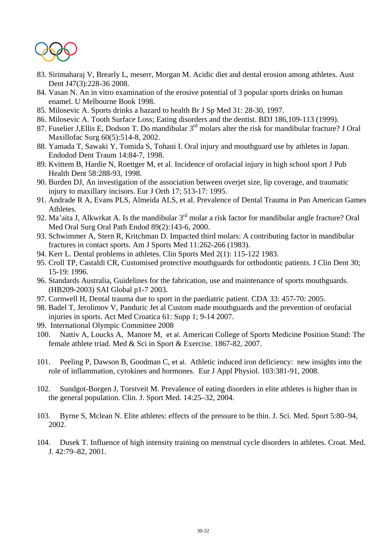

- 83. Sirimaharaj V, Brearly L, meserr, Morgan M. Acidic diet and dental erosion among athletes. Aust Dent J47(3):228-36 2008.
- 84. Vasan N. An in vitro examination of the erosive potential of 3 popular sports drinks on human enamel. U Melbourne Book 1998.
- 85. Milosevic A. Sports drinks a hazard to health Br J Sp Med 31: 28-30, 1997.
- 86. Milosevic A. Tooth Surface Loss; Eating disorders and the dentist. BDJ 186,109-113 (1999).
- 87. Fuselier J,Ellis E, Dodson T. Do mandibular 3rd molars alter the risk for mandibular fracture? J Oral Maxillofac Surg 60(5):514-8, 2002.
- 88. Yamada T, Sawaki Y, Tomida S, Tohani I. Oral injury and mouthguard use by athletes in Japan. Endodod Dent Traum 14:84-7, 1998.
- 89. Kvittem B, Hardie N, Roettger M, et al. Incidence of orofacial injury in high school sport J Pub Health Dent 58:288-93, 1998.
- 90. Burden DJ, An investigation of the association between overjet size, lip coverage, and traumatic injury to maxillary incisors. Eur J Orth 17; 513-17: 1995.
- 91. Andrade R A, Evans PLS, Almeida ALS, et al. Prevalence of Dental Trauma in Pan American Games Athletes.
- 92. Ma'aita J, Alkwrkat A. Is the mandibular  $3<sup>rd</sup>$  molar a risk factor for mandibular angle fracture? Oral Med Oral Surg Oral Path Endod 89(2):143-6, 2000.
- 93. Schwimmer A, Stern R, Kritchman D. Impacted third molars: A contributing factor in mandibular fractures in contact sports. Am J Sports Med 11:262-266 (1983).
- 94. Kerr L. Dental problems in athletes. Clin Sports Med 2(1): 115-122 1983.
- 95. Croll TP, Castaldi CR, Customised protective mouthguards for orthodontic patients. J Clin Dent 30; 15-19: 1996.
- 96. Standards Australia, Guidelines for the fabrication, use and maintenance of sports mouthguards. (HB209-2003) SAI Global p1-7 2003.
- 97. Cornwell H, Dental trauma due to sport in the paediatric patient. CDA 33: 457-70: 2005.
- 98. Badel T, Jerolimov V, Panduric Jet al Custom made mouthguards and the prevention of orofacial injuries in sports. Act Med Croatica 61: Supp 1; 9-14 2007.
- 99. International Olympic Committee 2008
- 100. Nattiv A, Loucks A, Manore M, et al. American College of Sports Medicine Position Stand: The female athlete triad. Med & Sci in Sport & Exercise. 1867-82, 2007.
- 101. Peeling P, Dawson B, Goodman C, et al. Athletic induced iron deficiency: new insights into the role of inflammation, cytokines and hormones. Eur J Appl Physiol. 103:381-91, 2008.
- 102. Sundgot-Borgen J, Torstveit M. Prevalence of eating disorders in elite athletes is higher than in the general population. Clin. J. Sport Med. 14:25–32, 2004.
- 103. Byrne S, Mclean N. Elite athletes: effects of the pressure to be thin. J. Sci. Med. Sport 5:80–94, 2002.
- 104. Dusek T. Influence of high intensity training on menstrual cycle disorders in athletes. Croat. Med. J. 42:79–82, 2001.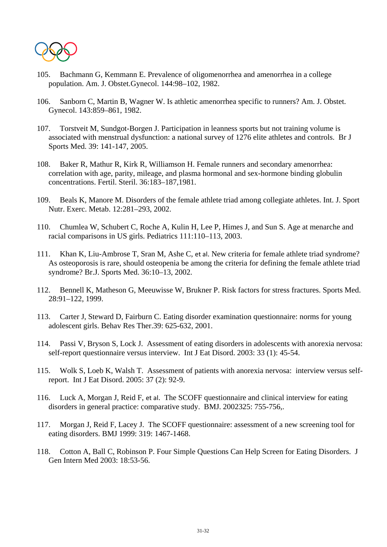

- 105. Bachmann G, Kemmann E. Prevalence of oligomenorrhea and amenorrhea in a college population. Am. J. Obstet.Gynecol. 144:98–102, 1982.
- 106. Sanborn C, Martin B, Wagner W. Is athletic amenorrhea specific to runners? Am. J. Obstet. Gynecol. 143:859–861, 1982.
- 107. Torstveit M, Sundgot-Borgen J. Participation in leanness sports but not training volume is associated with menstrual dysfunction: a national survey of 1276 elite athletes and controls. Br J Sports Med. 39: 141-147, 2005.
- 108. Baker R, Mathur R, Kirk R, Williamson H. Female runners and secondary amenorrhea: correlation with age, parity, mileage, and plasma hormonal and sex-hormone binding globulin concentrations. Fertil. Steril. 36:183–187,1981.
- 109. Beals K, Manore M. Disorders of the female athlete triad among collegiate athletes. Int. J. Sport Nutr. Exerc. Metab. 12:281–293, 2002.
- 110. Chumlea W, Schubert C, Roche A, Kulin H, Lee P, Himes J, and Sun S. Age at menarche and racial comparisons in US girls. Pediatrics 111:110–113, 2003.
- 111. Khan K, Liu-Ambrose T, Sran M, Ashe C, et al. New criteria for female athlete triad syndrome? As osteoporosis is rare, should osteopenia be among the criteria for defining the female athlete triad syndrome? Br.J. Sports Med. 36:10–13, 2002.
- 112. Bennell K, Matheson G, Meeuwisse W, Brukner P. Risk factors for stress fractures. Sports Med. 28:91–122, 1999.
- 113. Carter J, Steward D, Fairburn C. Eating disorder examination questionnaire: norms for young adolescent girls. Behav Res Ther.39: 625-632, 2001.
- 114. Passi V, Bryson S, Lock J. Assessment of eating disorders in adolescents with anorexia nervosa: self-report questionnaire versus interview. Int J Eat Disord. 2003: 33 (1): 45-54.
- 115. Wolk S, Loeb K, Walsh T. Assessment of patients with anorexia nervosa: interview versus selfreport. Int J Eat Disord. 2005: 37 (2): 92-9.
- 116. Luck A, Morgan J, Reid F, et al. The SCOFF questionnaire and clinical interview for eating disorders in general practice: comparative study. BMJ. 2002325: 755-756,.
- 117. Morgan J, Reid F, Lacey J. The SCOFF questionnaire: assessment of a new screening tool for eating disorders. BMJ 1999: 319: 1467-1468.
- 118. Cotton A, Ball C, Robinson P. Four Simple Questions Can Help Screen for Eating Disorders. J Gen Intern Med 2003: 18:53-56.